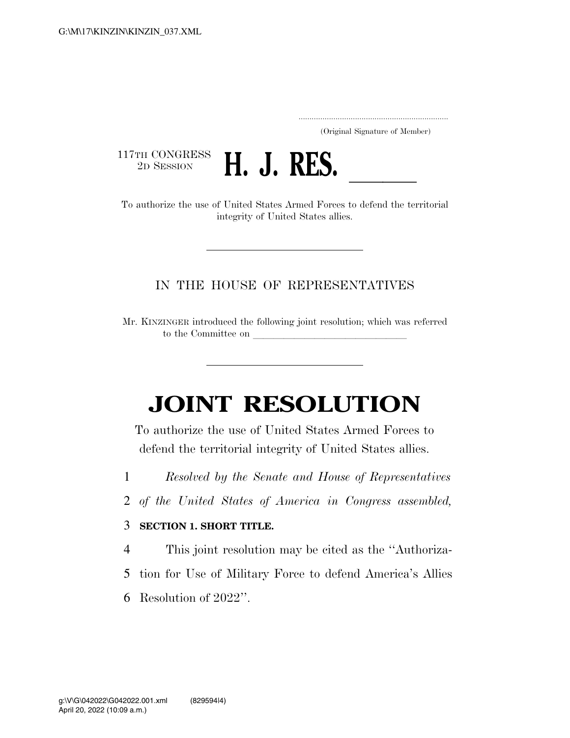..................................................................... (Original Signature of Member)

117TH CONGRESS<br>2D SESSION



2D SESSION **H. J. RES.**<br>To authorize the use of United States Armed Forces to defend the territorial integrity of United States allies.

### IN THE HOUSE OF REPRESENTATIVES

Mr. KINZINGER introduced the following joint resolution; which was referred to the Committee on

# **JOINT RESOLUTION**

To authorize the use of United States Armed Forces to defend the territorial integrity of United States allies.

- 1 *Resolved by the Senate and House of Representatives*
- 2 *of the United States of America in Congress assembled,*

#### 3 **SECTION 1. SHORT TITLE.**

- 4 This joint resolution may be cited as the ''Authoriza-
- 5 tion for Use of Military Force to defend America's Allies
- 6 Resolution of 2022''.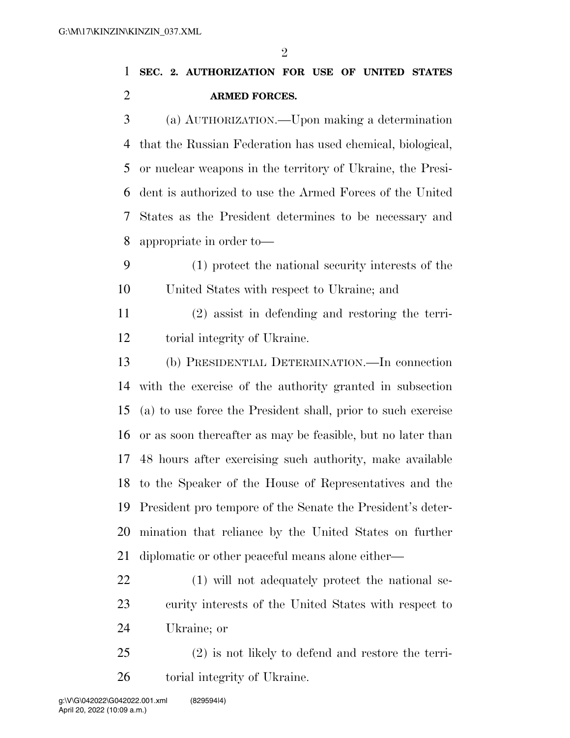$\mathfrak{D}$ 

# **SEC. 2. AUTHORIZATION FOR USE OF UNITED STATES ARMED FORCES.**

 (a) AUTHORIZATION.—Upon making a determination that the Russian Federation has used chemical, biological, or nuclear weapons in the territory of Ukraine, the Presi- dent is authorized to use the Armed Forces of the United States as the President determines to be necessary and appropriate in order to—

 (1) protect the national security interests of the United States with respect to Ukraine; and

 (2) assist in defending and restoring the terri-torial integrity of Ukraine.

 (b) PRESIDENTIAL DETERMINATION.—In connection with the exercise of the authority granted in subsection (a) to use force the President shall, prior to such exercise or as soon thereafter as may be feasible, but no later than 48 hours after exercising such authority, make available to the Speaker of the House of Representatives and the President pro tempore of the Senate the President's deter- mination that reliance by the United States on further diplomatic or other peaceful means alone either—

 (1) will not adequately protect the national se- curity interests of the United States with respect to Ukraine; or

 (2) is not likely to defend and restore the terri-torial integrity of Ukraine.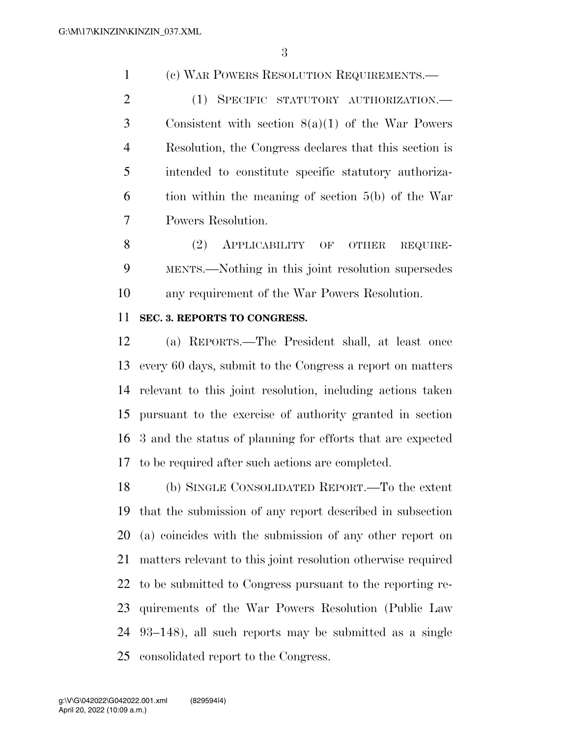(c) WAR POWERS RESOLUTION REQUIREMENTS.—

 (1) SPECIFIC STATUTORY AUTHORIZATION.— Consistent with section 8(a)(1) of the War Powers Resolution, the Congress declares that this section is intended to constitute specific statutory authoriza- tion within the meaning of section 5(b) of the War Powers Resolution.

8 (2) APPLICABILITY OF OTHER REQUIRE- MENTS.—Nothing in this joint resolution supersedes any requirement of the War Powers Resolution.

### **SEC. 3. REPORTS TO CONGRESS.**

 (a) REPORTS.—The President shall, at least once every 60 days, submit to the Congress a report on matters relevant to this joint resolution, including actions taken pursuant to the exercise of authority granted in section 3 and the status of planning for efforts that are expected to be required after such actions are completed.

 (b) SINGLE CONSOLIDATED REPORT.—To the extent that the submission of any report described in subsection (a) coincides with the submission of any other report on matters relevant to this joint resolution otherwise required to be submitted to Congress pursuant to the reporting re- quirements of the War Powers Resolution (Public Law 93–148), all such reports may be submitted as a single consolidated report to the Congress.